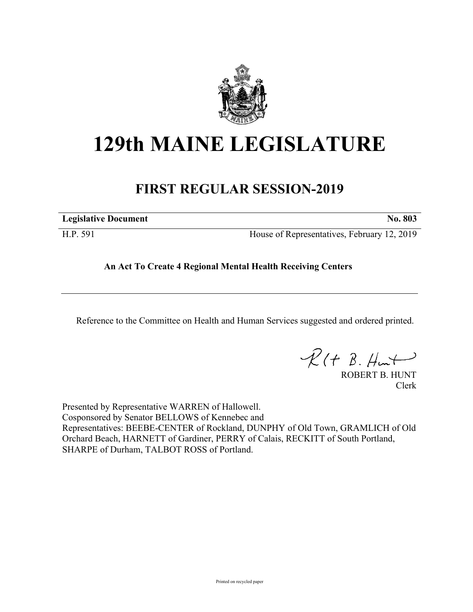

## **129th MAINE LEGISLATURE**

## **FIRST REGULAR SESSION-2019**

| <b>Legislative Document</b> | ______ | $-$ | $-$ | $-$ | . |
|-----------------------------|--------|-----|-----|-----|---|
|                             |        |     |     |     |   |

H.P. 591 House of Representatives, February 12, 2019

## **An Act To Create 4 Regional Mental Health Receiving Centers**

Reference to the Committee on Health and Human Services suggested and ordered printed.

 $R(H B. H<sub>un</sub>+)$ 

ROBERT B. HUNT Clerk

Presented by Representative WARREN of Hallowell. Cosponsored by Senator BELLOWS of Kennebec and Representatives: BEEBE-CENTER of Rockland, DUNPHY of Old Town, GRAMLICH of Old Orchard Beach, HARNETT of Gardiner, PERRY of Calais, RECKITT of South Portland, SHARPE of Durham, TALBOT ROSS of Portland.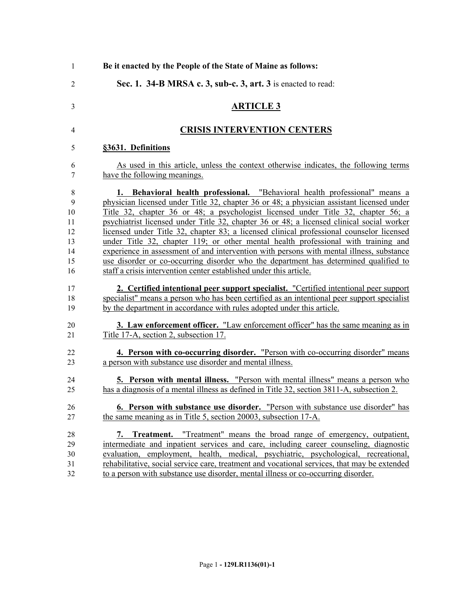| $\mathbf{1}$    | Be it enacted by the People of the State of Maine as follows:                                |
|-----------------|----------------------------------------------------------------------------------------------|
| 2               | Sec. 1. 34-B MRSA c. 3, sub-c. 3, art. 3 is enacted to read:                                 |
| 3               | <b>ARTICLE 3</b>                                                                             |
| 4               | <b>CRISIS INTERVENTION CENTERS</b>                                                           |
| 5               | §3631. Definitions                                                                           |
| 6               | As used in this article, unless the context otherwise indicates, the following terms         |
| 7               | have the following meanings.                                                                 |
| 8               | 1. Behavioral health professional. "Behavioral health professional" means a                  |
| 9               | physician licensed under Title 32, chapter 36 or 48; a physician assistant licensed under    |
| 10              | Title 32, chapter 36 or 48; a psychologist licensed under Title 32, chapter 56; a            |
| 11              | psychiatrist licensed under Title 32, chapter 36 or 48; a licensed clinical social worker    |
| 12              | licensed under Title 32, chapter 83; a licensed clinical professional counselor licensed     |
| 13              | under Title 32, chapter 119; or other mental health professional with training and           |
| 14              | experience in assessment of and intervention with persons with mental illness, substance     |
| 15              | use disorder or co-occurring disorder who the department has determined qualified to         |
| 16              | staff a crisis intervention center established under this article.                           |
| 17              | 2. Certified intentional peer support specialist. "Certified intentional peer support        |
| 18              | specialist" means a person who has been certified as an intentional peer support specialist  |
| 19              | by the department in accordance with rules adopted under this article.                       |
| 20              | <b>3. Law enforcement officer.</b> "Law enforcement officer" has the same meaning as in      |
| $\overline{21}$ | Title 17-A, section 2, subsection 17.                                                        |
| 22              | 4. Person with co-occurring disorder. "Person with co-occurring disorder" means              |
| 23              | a person with substance use disorder and mental illness.                                     |
| 24              | <b>5. Person with mental illness.</b> "Person with mental illness" means a person who        |
| 25              | has a diagnosis of a mental illness as defined in Title 32, section 3811-A, subsection 2.    |
| 26              | 6. Person with substance use disorder. "Person with substance use disorder" has              |
| 27              | the same meaning as in Title 5, section 20003, subsection 17-A.                              |
| 28              | 7. Treatment. "Treatment" means the broad range of emergency, outpatient,                    |
| 29              | intermediate and inpatient services and care, including career counseling, diagnostic        |
| 30              | evaluation, employment, health, medical, psychiatric, psychological, recreational,           |
| 31              | rehabilitative, social service care, treatment and vocational services, that may be extended |
| 32              | to a person with substance use disorder, mental illness or co-occurring disorder.            |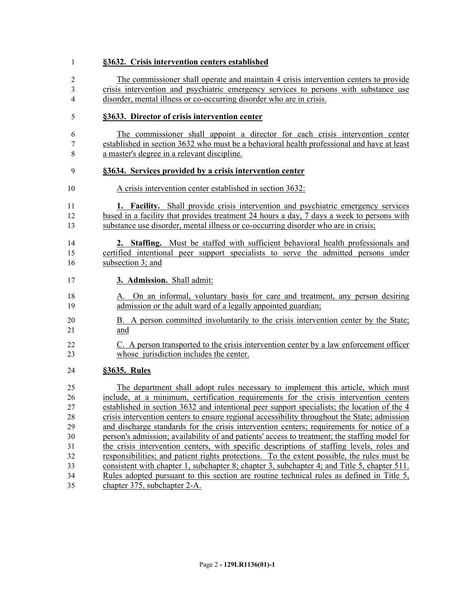| 1                        | §3632. Crisis intervention centers established                                                |
|--------------------------|-----------------------------------------------------------------------------------------------|
| 2                        | The commissioner shall operate and maintain 4 crisis intervention centers to provide          |
| 3                        | crisis intervention and psychiatric emergency services to persons with substance use          |
| $\overline{\mathcal{A}}$ | disorder, mental illness or co-occurring disorder who are in crisis.                          |
| 5                        | §3633. Director of crisis intervention center                                                 |
| 6                        | The commissioner shall appoint a director for each crisis intervention center                 |
| 7                        | established in section 3632 who must be a behavioral health professional and have at least    |
| 8                        | a master's degree in a relevant discipline.                                                   |
| 9                        | §3634. Services provided by a crisis intervention center                                      |
| 10                       | A crisis intervention center established in section 3632:                                     |
| 11                       | <b>1. Facility.</b> Shall provide crisis intervention and psychiatric emergency services      |
| 12                       | based in a facility that provides treatment 24 hours a day, 7 days a week to persons with     |
| 13                       | substance use disorder, mental illness or co-occurring disorder who are in crisis;            |
| 14                       | 2. Staffing. Must be staffed with sufficient behavioral health professionals and              |
| 15                       | certified intentional peer support specialists to serve the admitted persons under            |
| 16                       | subsection 3; and                                                                             |
| 17                       | 3. Admission. Shall admit:                                                                    |
| 18                       | A. On an informal, voluntary basis for care and treatment, any person desiring                |
| 19                       | admission or the adult ward of a legally appointed guardian;                                  |
| 20                       | B. A person committed involuntarily to the crisis intervention center by the State;           |
| 21                       | and                                                                                           |
| 22                       | C. A person transported to the crisis intervention center by a law enforcement officer        |
| 23                       | whose jurisdiction includes the center.                                                       |
| 24                       | §3635. Rules                                                                                  |
| 25                       | The department shall adopt rules necessary to implement this article, which must              |
| 26                       | include, at a minimum, certification requirements for the crisis intervention centers         |
| 27                       | established in section 3632 and intentional peer support specialists; the location of the 4   |
| 28                       | crisis intervention centers to ensure regional accessibility throughout the State; admission  |
| 29                       | and discharge standards for the crisis intervention centers; requirements for notice of a     |
| 30                       | person's admission; availability of and patients' access to treatment; the staffing model for |
| 31                       | the crisis intervention centers, with specific descriptions of staffing levels, roles and     |
| 32                       | responsibilities; and patient rights protections. To the extent possible, the rules must be   |
| 33                       | consistent with chapter 1, subchapter 8; chapter 3, subchapter 4; and Title 5, chapter 511.   |
| 34                       | Rules adopted pursuant to this section are routine technical rules as defined in Title 5,     |
| 35                       | chapter 375, subchapter 2-A.                                                                  |